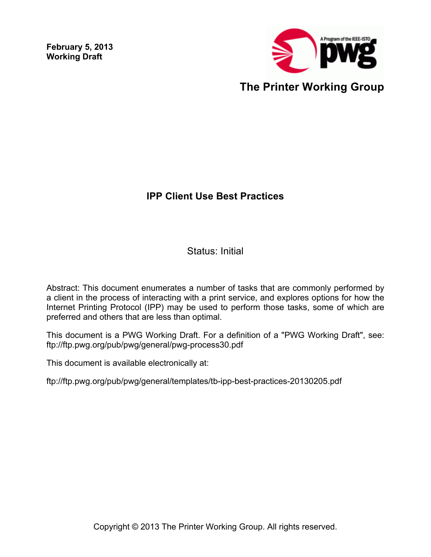**February 5, 2013 Working Draft** 



### **IPP Client Use Best Practices**

Status: Initial

Abstract: This document enumerates a number of tasks that are commonly performed by a client in the process of interacting with a print service, and explores options for how the Internet Printing Protocol (IPP) may be used to perform those tasks, some of which are preferred and others that are less than optimal.

This document is a PWG Working Draft. For a definition of a "PWG Working Draft", see: ftp://ftp.pwg.org/pub/pwg/general/pwg-process30.pdf

This document is available electronically at:

ftp://ftp.pwg.org/pub/pwg/general/templates/tb-ipp-best-practices-20130205.pdf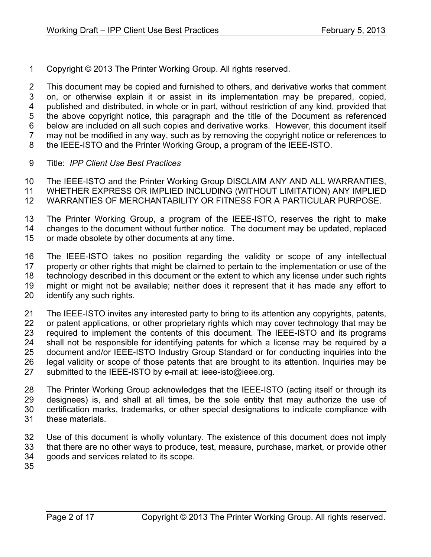Copyright © 2013 The Printer Working Group. All rights reserved.

 This document may be copied and furnished to others, and derivative works that comment on, or otherwise explain it or assist in its implementation may be prepared, copied, published and distributed, in whole or in part, without restriction of any kind, provided that the above copyright notice, this paragraph and the title of the Document as referenced below are included on all such copies and derivative works. However, this document itself may not be modified in any way, such as by removing the copyright notice or references to the IEEE-ISTO and the Printer Working Group, a program of the IEEE-ISTO.

Title: *IPP Client Use Best Practices*

 The IEEE-ISTO and the Printer Working Group DISCLAIM ANY AND ALL WARRANTIES, WHETHER EXPRESS OR IMPLIED INCLUDING (WITHOUT LIMITATION) ANY IMPLIED

- WARRANTIES OF MERCHANTABILITY OR FITNESS FOR A PARTICULAR PURPOSE.
- The Printer Working Group, a program of the IEEE-ISTO, reserves the right to make changes to the document without further notice. The document may be updated, replaced
- or made obsolete by other documents at any time.

 The IEEE-ISTO takes no position regarding the validity or scope of any intellectual property or other rights that might be claimed to pertain to the implementation or use of the technology described in this document or the extent to which any license under such rights might or might not be available; neither does it represent that it has made any effort to identify any such rights.

 The IEEE-ISTO invites any interested party to bring to its attention any copyrights, patents, 22 or patent applications, or other proprietary rights which may cover technology that may be required to implement the contents of this document. The IEEE-ISTO and its programs shall not be responsible for identifying patents for which a license may be required by a document and/or IEEE-ISTO Industry Group Standard or for conducting inquiries into the legal validity or scope of those patents that are brought to its attention. Inquiries may be 27 submitted to the IEEE-ISTO by e-mail at: ieee-isto@ieee.org.

 The Printer Working Group acknowledges that the IEEE-ISTO (acting itself or through its designees) is, and shall at all times, be the sole entity that may authorize the use of certification marks, trademarks, or other special designations to indicate compliance with these materials.

- Use of this document is wholly voluntary. The existence of this document does not imply that there are no other ways to produce, test, measure, purchase, market, or provide other goods and services related to its scope.
-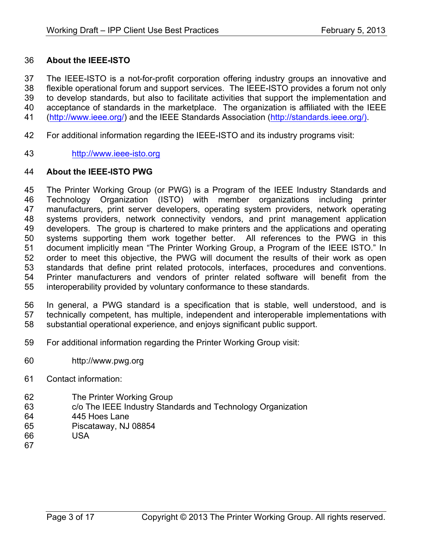#### **About the IEEE-ISTO**

 The IEEE-ISTO is a not-for-profit corporation offering industry groups an innovative and flexible operational forum and support services. The IEEE-ISTO provides a forum not only to develop standards, but also to facilitate activities that support the implementation and acceptance of standards in the marketplace. The organization is affiliated with the IEEE (http://www.ieee.org/) and the IEEE Standards Association (http://standards.ieee.org/).

- For additional information regarding the IEEE-ISTO and its industry programs visit:
- http://www.ieee-isto.org

#### **About the IEEE-ISTO PWG**

 The Printer Working Group (or PWG) is a Program of the IEEE Industry Standards and Technology Organization (ISTO) with member organizations including printer manufacturers, print server developers, operating system providers, network operating systems providers, network connectivity vendors, and print management application developers. The group is chartered to make printers and the applications and operating systems supporting them work together better. All references to the PWG in this document implicitly mean "The Printer Working Group, a Program of the IEEE ISTO." In order to meet this objective, the PWG will document the results of their work as open standards that define print related protocols, interfaces, procedures and conventions. Printer manufacturers and vendors of printer related software will benefit from the interoperability provided by voluntary conformance to these standards.

 In general, a PWG standard is a specification that is stable, well understood, and is technically competent, has multiple, independent and interoperable implementations with substantial operational experience, and enjoys significant public support.

- For additional information regarding the Printer Working Group visit:
- http://www.pwg.org
- Contact information:
- The Printer Working Group
- c/o The IEEE Industry Standards and Technology Organization
- 445 Hoes Lane
- Piscataway, NJ 08854 USA
- 
-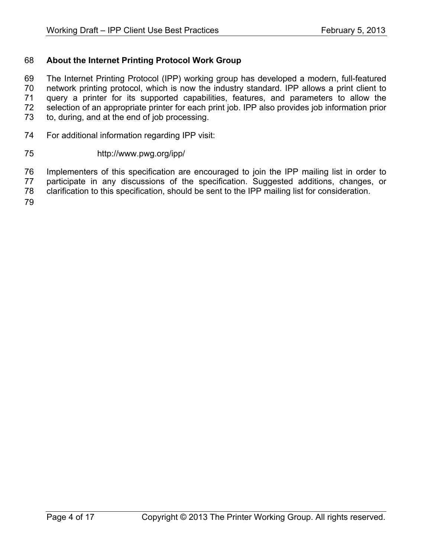#### **About the Internet Printing Protocol Work Group**

 The Internet Printing Protocol (IPP) working group has developed a modern, full-featured network printing protocol, which is now the industry standard. IPP allows a print client to query a printer for its supported capabilities, features, and parameters to allow the selection of an appropriate printer for each print job. IPP also provides job information prior to, during, and at the end of job processing.

For additional information regarding IPP visit:

#### http://www.pwg.org/ipp/

Implementers of this specification are encouraged to join the IPP mailing list in order to

 participate in any discussions of the specification. Suggested additions, changes, or clarification to this specification, should be sent to the IPP mailing list for consideration.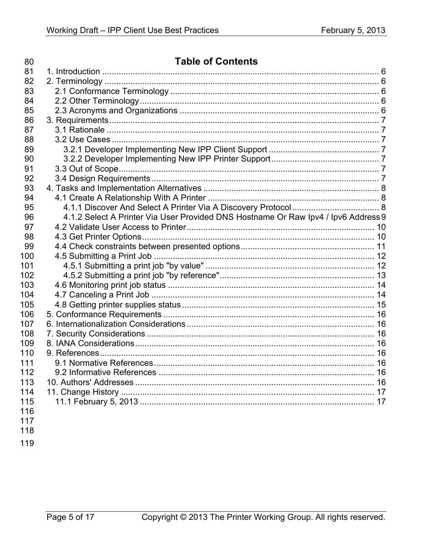| 80  | <b>Table of Contents</b>                                                           |  |
|-----|------------------------------------------------------------------------------------|--|
| 81  |                                                                                    |  |
| 82  |                                                                                    |  |
| 83  |                                                                                    |  |
| 84  |                                                                                    |  |
| 85  |                                                                                    |  |
| 86  |                                                                                    |  |
| 87  |                                                                                    |  |
| 88  |                                                                                    |  |
| 89  |                                                                                    |  |
| 90  |                                                                                    |  |
| 91  |                                                                                    |  |
| 92  |                                                                                    |  |
| 93  |                                                                                    |  |
| 94  |                                                                                    |  |
| 95  |                                                                                    |  |
| 96  | 4.1.2 Select A Printer Via User Provided DNS Hostname Or Raw Ipv4 / Ipv6 Address 9 |  |
| 97  |                                                                                    |  |
| 98  |                                                                                    |  |
| 99  |                                                                                    |  |
| 100 |                                                                                    |  |
| 101 |                                                                                    |  |
| 102 |                                                                                    |  |
| 103 |                                                                                    |  |
| 104 |                                                                                    |  |
| 105 |                                                                                    |  |
| 106 |                                                                                    |  |
| 107 |                                                                                    |  |
| 108 |                                                                                    |  |
| 109 |                                                                                    |  |
| 110 |                                                                                    |  |
| 111 |                                                                                    |  |
| 112 |                                                                                    |  |
| 113 |                                                                                    |  |
| 114 |                                                                                    |  |
| 115 |                                                                                    |  |
| 116 |                                                                                    |  |
| 117 |                                                                                    |  |
| 118 |                                                                                    |  |

119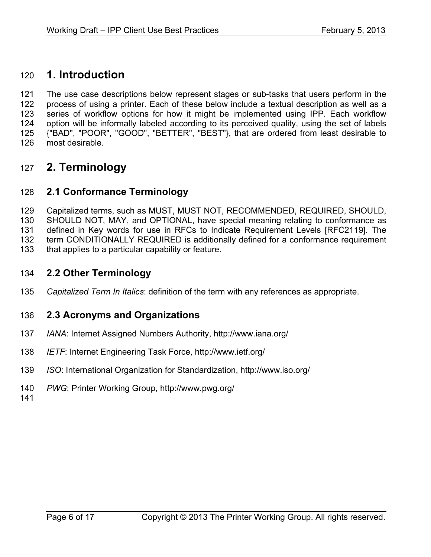# **1. Introduction**

 The use case descriptions below represent stages or sub-tasks that users perform in the process of using a printer. Each of these below include a textual description as well as a series of workflow options for how it might be implemented using IPP. Each workflow option will be informally labeled according to its perceived quality, using the set of labels {"BAD", "POOR", "GOOD", "BETTER", "BEST"}, that are ordered from least desirable to most desirable.

# **2. Terminology**

### **2.1 Conformance Terminology**

 Capitalized terms, such as MUST, MUST NOT, RECOMMENDED, REQUIRED, SHOULD, SHOULD NOT, MAY, and OPTIONAL, have special meaning relating to conformance as defined in Key words for use in RFCs to Indicate Requirement Levels [RFC2119]. The term CONDITIONALLY REQUIRED is additionally defined for a conformance requirement that applies to a particular capability or feature.

#### **2.2 Other Terminology**

*Capitalized Term In Italics*: definition of the term with any references as appropriate.

#### **2.3 Acronyms and Organizations**

- *IANA*: Internet Assigned Numbers Authority, http://www.iana.org/
- *IETF*: Internet Engineering Task Force, http://www.ietf.org/
- *ISO*: International Organization for Standardization, http://www.iso.org/
- *PWG*: Printer Working Group, http://www.pwg.org/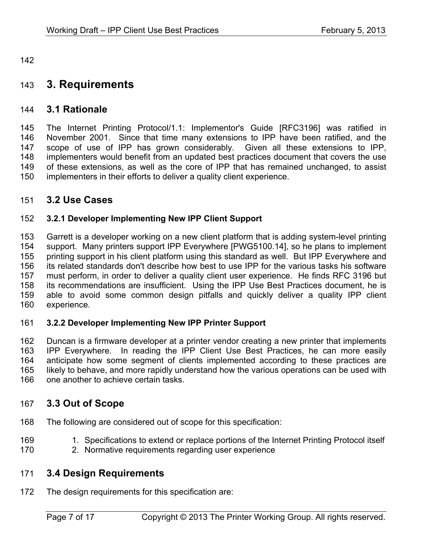# **3. Requirements**

#### **3.1 Rationale**

 The Internet Printing Protocol/1.1: Implementor's Guide [RFC3196] was ratified in November 2001. Since that time many extensions to IPP have been ratified, and the scope of use of IPP has grown considerably. Given all these extensions to IPP, implementers would benefit from an updated best practices document that covers the use of these extensions, as well as the core of IPP that has remained unchanged, to assist implementers in their efforts to deliver a quality client experience.

#### **3.2 Use Cases**

#### **3.2.1 Developer Implementing New IPP Client Support**

 Garrett is a developer working on a new client platform that is adding system-level printing support. Many printers support IPP Everywhere [PWG5100.14], so he plans to implement printing support in his client platform using this standard as well. But IPP Everywhere and its related standards don't describe how best to use IPP for the various tasks his software must perform, in order to deliver a quality client user experience. He finds RFC 3196 but its recommendations are insufficient. Using the IPP Use Best Practices document, he is able to avoid some common design pitfalls and quickly deliver a quality IPP client experience.

#### **3.2.2 Developer Implementing New IPP Printer Support**

 Duncan is a firmware developer at a printer vendor creating a new printer that implements IPP Everywhere. In reading the IPP Client Use Best Practices, he can more easily anticipate how some segment of clients implemented according to these practices are likely to behave, and more rapidly understand how the various operations can be used with 166 one another to achieve certain tasks.

#### **3.3 Out of Scope**

- The following are considered out of scope for this specification:
- 169 1. Specifications to extend or replace portions of the Internet Printing Protocol itself
- 2. Normative requirements regarding user experience

#### **3.4 Design Requirements**

The design requirements for this specification are: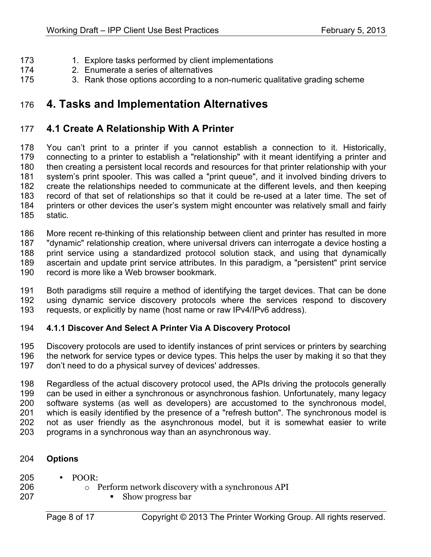- 173 1. Explore tasks performed by client implementations
- 2. Enumerate a series of alternatives
- 175 3. Rank those options according to a non-numeric qualitative grading scheme

# **4. Tasks and Implementation Alternatives**

### **4.1 Create A Relationship With A Printer**

 You can't print to a printer if you cannot establish a connection to it. Historically, connecting to a printer to establish a "relationship" with it meant identifying a printer and then creating a persistent local records and resources for that printer relationship with your system's print spooler. This was called a "print queue", and it involved binding drivers to create the relationships needed to communicate at the different levels, and then keeping record of that set of relationships so that it could be re-used at a later time. The set of printers or other devices the user's system might encounter was relatively small and fairly static.

 More recent re-thinking of this relationship between client and printer has resulted in more "dynamic" relationship creation, where universal drivers can interrogate a device hosting a print service using a standardized protocol solution stack, and using that dynamically ascertain and update print service attributes. In this paradigm, a "persistent" print service record is more like a Web browser bookmark.

 Both paradigms still require a method of identifying the target devices. That can be done using dynamic service discovery protocols where the services respond to discovery requests, or explicitly by name (host name or raw IPv4/IPv6 address).

#### **4.1.1 Discover And Select A Printer Via A Discovery Protocol**

 Discovery protocols are used to identify instances of print services or printers by searching the network for service types or device types. This helps the user by making it so that they don't need to do a physical survey of devices' addresses.

 Regardless of the actual discovery protocol used, the APIs driving the protocols generally can be used in either a synchronous or asynchronous fashion. Unfortunately, many legacy software systems (as well as developers) are accustomed to the synchronous model, which is easily identified by the presence of a "refresh button". The synchronous model is not as user friendly as the asynchronous model, but it is somewhat easier to write programs in a synchronous way than an asynchronous way.

- **Options**
- POOR:
- 206 o Perform network discovery with a synchronous API<br>207 **-** Show progress bar
	- Show progress bar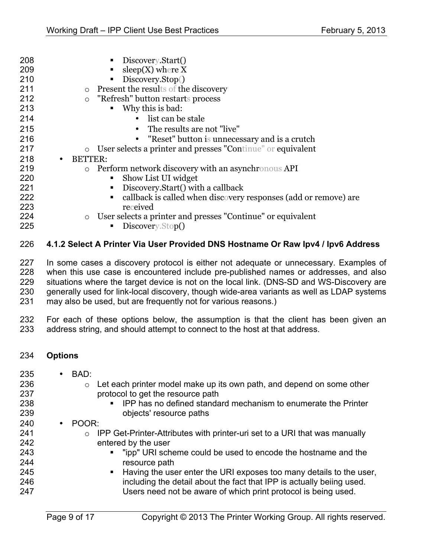| 208 | Discovery.Start()<br>٠                                                           |
|-----|----------------------------------------------------------------------------------|
| 209 | $sleep(X)$ where $X$<br>п                                                        |
| 210 | Discovery.Stop()<br>п                                                            |
| 211 | <b>Present the results of the discovery</b><br>$\circ$                           |
| 212 | "Refresh" button restarts process<br>$\circ$                                     |
| 213 | Why this is bad:                                                                 |
| 214 | • list can be stale                                                              |
| 215 | The results are not "live"<br>$\bullet$                                          |
| 216 | • "Reset" button is unnecessary and is a crutch                                  |
| 217 | User selects a printer and presses "Continue" or equivalent<br>$\circ$           |
| 218 | <b>BETTER:</b><br>$\bullet$                                                      |
| 219 | Perform network discovery with an asynchronous API                               |
| 220 | Show List UI widget                                                              |
| 221 | Discovery.Start() with a callback<br>п                                           |
| 222 | callback is called when discovery responses (add or remove) are                  |
| 223 | received                                                                         |
| 224 | User selects a printer and presses "Continue" or equivalent<br>$\circ$           |
| 225 | Discovery.Stop()<br>$\blacksquare$                                               |
| 226 | 4.1.2 Select A Printer Via User Provided DNS Hostname Or Raw Ipv4 / Ipv6 Address |
|     |                                                                                  |

 In some cases a discovery protocol is either not adequate or unnecessary. Examples of when this use case is encountered include pre-published names or addresses, and also situations where the target device is not on the local link. (DNS-SD and WS-Discovery are 230 generally used for link-local discovery, though wide-area variants as well as LDAP systems may also be used, but are frequently not for various reasons.)

 For each of these options below, the assumption is that the client has been given an address string, and should attempt to connect to the host at that address.

#### **Options**

 • BAD:  $\circ$  Let each printer model make up its own path, and depend on some other **protocol to get the resource path Example 3** IPP has no defined standard mechanism to enumerate the Printer objects' resource paths • POOR:  $\circ$  IPP Get-Printer-Attributes with printer-uri set to a URI that was manually entered by the user entered by the user § "ipp" URI scheme could be used to encode the hostname and the **resource path** 245 BIG Having the user enter the URI exposes too many details to the user, including the detail about the fact that IPP is actually beiing used. Users need not be aware of which print protocol is being used.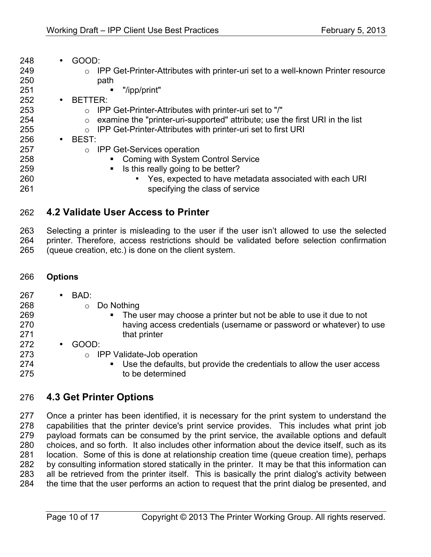| GOOD:<br>$\bullet$                                                                          |
|---------------------------------------------------------------------------------------------|
| IPP Get-Printer-Attributes with printer-uri set to a well-known Printer resource<br>$\circ$ |
| path                                                                                        |
| "/ipp/print"<br>п                                                                           |
| BETTER:<br>$\bullet$                                                                        |
| IPP Get-Printer-Attributes with printer-uri set to "/"<br>$\circ$                           |
| examine the "printer-uri-supported" attribute; use the first URI in the list<br>$\circ$     |
| IPP Get-Printer-Attributes with printer-uri set to first URI<br>$\circ$                     |
| BEST:<br>$\bullet$                                                                          |
| <b>IPP Get-Services operation</b><br>$\circ$                                                |
| Coming with System Control Service<br>п.                                                    |
| Is this really going to be better?<br>$\blacksquare$                                        |
| Yes, expected to have metadata associated with each URI                                     |
| specifying the class of service                                                             |
|                                                                                             |

### **4.2 Validate User Access to Printer**

 Selecting a printer is misleading to the user if the user isn't allowed to use the selected printer. Therefore, access restrictions should be validated before selection confirmation (queue creation, etc.) is done on the client system.

- **Options**
- BAD:
- o Do Nothing
- 
- 
- **Example 269** The user may choose a printer but not be able to use it due to not having access credentials (username or password or whatever) to use 271 that printer
- GOOD:
- o IPP Validate-Job operation
- Use the defaults, but provide the credentials to allow the user access to be determined

# **4.3 Get Printer Options**

 Once a printer has been identified, it is necessary for the print system to understand the capabilities that the printer device's print service provides. This includes what print job payload formats can be consumed by the print service, the available options and default choices, and so forth. It also includes other information about the device itself, such as its location. Some of this is done at relationship creation time (queue creation time), perhaps by consulting information stored statically in the printer. It may be that this information can all be retrieved from the printer itself. This is basically the print dialog's activity between the time that the user performs an action to request that the print dialog be presented, and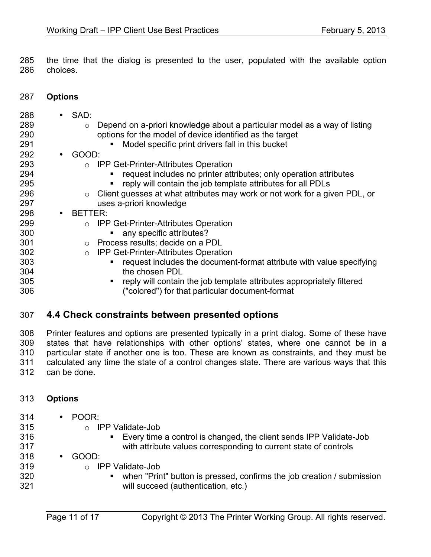the time that the dialog is presented to the user, populated with the available option choices.

- **Options**
- SAD:
- **b 289** o Depend on a-priori knowledge about a particular model as a way of listing options for the model of device identified as the target
- **Blacks •** Model specific print drivers fall in this bucket
- GOOD:
- 293 **b PP Get-Printer-Attributes Operation**<br>294 **b Perry Prequest includes no printer att** 
	- **•** request includes no printer attributes; only operation attributes
- § reply will contain the job template attributes for all PDLs
- **client guesses at what attributes may work or not work for a given PDL, or** uses a-priori knowledge
- BETTER:
- 299 **b PP Get-Printer-Attributes Operation**<br>300  **Solution Contributes** Party specific attributes?
	- any specific attributes?
- o Process results; decide on a PDL
- 302 **b** IPP Get-Printer-Attributes Operation<br>303 **Figures** request includes the document
- **•** request includes the document-format attribute with value specifying the chosen PDL
- **•** reply will contain the job template attributes appropriately filtered ("colored") for that particular document-format

#### **4.4 Check constraints between presented options**

 Printer features and options are presented typically in a print dialog. Some of these have states that have relationships with other options' states, where one cannot be in a particular state if another one is too. These are known as constraints, and they must be calculated any time the state of a control changes state. There are various ways that this can be done.

#### **Options**

 • POOR: o IPP Validate-Job **• Every time a control is changed, the client sends IPP Validate-Job**  with attribute values corresponding to current state of controls • GOOD: 319 o IPP Validate-Job<br>320 **e** when "Prin • when "Print" button is pressed, confirms the job creation / submission will succeed (authentication, etc.)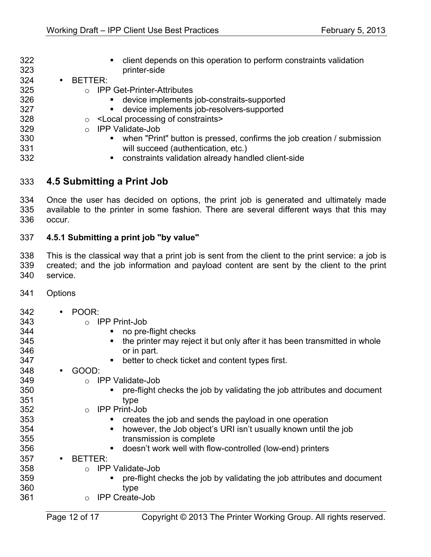**• client depends on this operation to perform constraints validation**  printer-side • BETTER: o IPP Get-Printer-Attributes **• device implements job-constraits-supported •** device implements job-resolvers-supported o <Local processing of constraints> o IPP Validate-Job **• When "Print" button is pressed, confirms the job creation / submission**  will succeed (authentication, etc.) **•** constraints validation already handled client-side

### **4.5 Submitting a Print Job**

 Once the user has decided on options, the print job is generated and ultimately made available to the printer in some fashion. There are several different ways that this may occur.

#### **4.5.1 Submitting a print job "by value"**

 This is the classical way that a print job is sent from the client to the print service: a job is created; and the job information and payload content are sent by the client to the print service.

Options

| 342 |           | POOR:                                                                     |
|-----|-----------|---------------------------------------------------------------------------|
| 343 |           | <b>IPP Print-Job</b><br>$\Omega$                                          |
| 344 |           | no pre-flight checks                                                      |
| 345 |           | the printer may reject it but only after it has been transmitted in whole |
| 346 |           | or in part.                                                               |
| 347 |           | better to check ticket and content types first.                           |
| 348 |           | GOOD:                                                                     |
| 349 |           | <b>IPP Validate-Job</b><br>$\bigcap$                                      |
| 350 |           | pre-flight checks the job by validating the job attributes and document   |
| 351 |           | type                                                                      |
| 352 |           | <b>IPP Print-Job</b><br>$\circ$                                           |
| 353 |           | creates the job and sends the payload in one operation                    |
| 354 |           | however, the Job object's URI isn't usually known until the job           |
| 355 |           | transmission is complete                                                  |
| 356 |           | doesn't work well with flow-controlled (low-end) printers<br>п            |
| 357 | $\bullet$ | BETTER:                                                                   |
| 358 |           | <b>IPP Validate-Job</b><br>$\bigcap$                                      |
| 359 |           | pre-flight checks the job by validating the job attributes and document   |
| 360 |           | type                                                                      |
| 361 |           | <b>IPP Create-Job</b><br>$\bigcirc$                                       |
|     |           |                                                                           |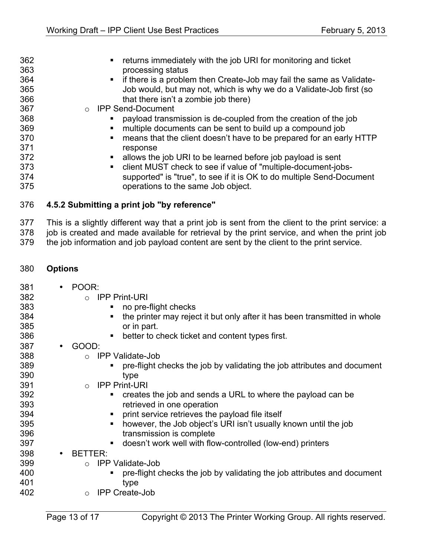| 362 | returns immediately with the job URI for monitoring and ticket                  |
|-----|---------------------------------------------------------------------------------|
| 363 | processing status                                                               |
| 364 | • if there is a problem then Create-Job may fail the same as Validate-          |
| 365 | Job would, but may not, which is why we do a Validate-Job first (so             |
| 366 | that there isn't a zombie job there)                                            |
| 367 | <b>IPP Send-Document</b><br>$\circ$                                             |
| 368 | payload transmission is de-coupled from the creation of the job                 |
| 369 | multiple documents can be sent to build up a compound job                       |
| 370 | means that the client doesn't have to be prepared for an early HTTP<br>٠        |
| 371 | response                                                                        |
| 372 | allows the job URI to be learned before job payload is sent                     |
| 373 | client MUST check to see if value of "multiple-document-jobs-<br>$\blacksquare$ |
| 374 | supported" is "true", to see if it is OK to do multiple Send-Document           |
| 375 | operations to the same Job object.                                              |
| 376 | 4.5.2 Submitting a print job "by reference"                                     |

 This is a slightly different way that a print job is sent from the client to the print service: a job is created and made available for retrieval by the print service, and when the print job 379 the job information and job payload content are sent by the client to the print service.

**Options**

| 381<br>382<br>383<br>384<br>385<br>386<br>387<br>388<br>389<br>390<br>391<br>392<br>393<br>394<br>395<br>396<br>397<br>398<br>399 | POOR:<br>$\bullet$<br><b>IPP Print-URI</b><br>$\bigcap$<br>no pre-flight checks<br>the printer may reject it but only after it has been transmitted in whole<br>or in part.<br>better to check ticket and content types first.<br>GOOD:<br>$\bullet$<br><b>IPP Validate-Job</b><br>$\bigcap$<br>pre-flight checks the job by validating the job attributes and document<br>type<br><b>IPP Print-URI</b><br>$\bigcirc$<br>creates the job and sends a URL to where the payload can be<br>retrieved in one operation<br>print service retrieves the payload file itself<br>however, the Job object's URI isn't usually known until the job<br>٠<br>transmission is complete<br>doesn't work well with flow-controlled (low-end) printers<br><b>BETTER:</b><br>$\bullet$<br><b>IPP Validate-Job</b><br>$\bigcap$ |
|-----------------------------------------------------------------------------------------------------------------------------------|---------------------------------------------------------------------------------------------------------------------------------------------------------------------------------------------------------------------------------------------------------------------------------------------------------------------------------------------------------------------------------------------------------------------------------------------------------------------------------------------------------------------------------------------------------------------------------------------------------------------------------------------------------------------------------------------------------------------------------------------------------------------------------------------------------------|
|                                                                                                                                   |                                                                                                                                                                                                                                                                                                                                                                                                                                                                                                                                                                                                                                                                                                                                                                                                               |
| 400                                                                                                                               | pre-flight checks the job by validating the job attributes and document                                                                                                                                                                                                                                                                                                                                                                                                                                                                                                                                                                                                                                                                                                                                       |
| 401                                                                                                                               | type                                                                                                                                                                                                                                                                                                                                                                                                                                                                                                                                                                                                                                                                                                                                                                                                          |
| 402                                                                                                                               | <b>IPP Create-Job</b><br>$\circ$                                                                                                                                                                                                                                                                                                                                                                                                                                                                                                                                                                                                                                                                                                                                                                              |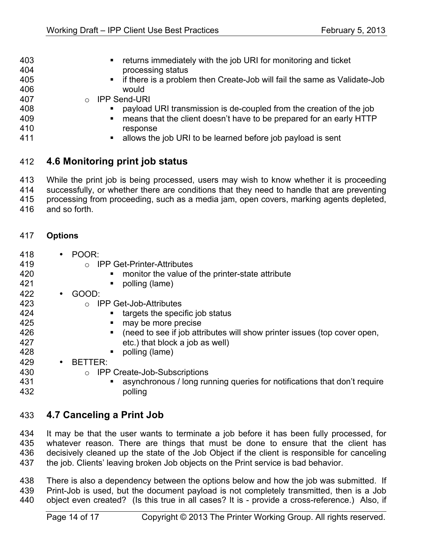| 403<br>404<br>405<br>406<br>407<br>408<br>409<br>410 | • returns immediately with the job URI for monitoring and ticket<br>processing status<br>• if there is a problem then Create-Job will fail the same as Validate-Job<br>would<br><b>IPP Send-URI</b><br>$\circ$<br>payload URI transmission is de-coupled from the creation of the job<br>means that the client doesn't have to be prepared for an early HTTP<br>response |
|------------------------------------------------------|--------------------------------------------------------------------------------------------------------------------------------------------------------------------------------------------------------------------------------------------------------------------------------------------------------------------------------------------------------------------------|
| 411                                                  | • allows the job URI to be learned before job payload is sent                                                                                                                                                                                                                                                                                                            |

# **4.6 Monitoring print job status**

 While the print job is being processed, users may wish to know whether it is proceeding successfully, or whether there are conditions that they need to handle that are preventing processing from proceeding, such as a media jam, open covers, marking agents depleted,

and so forth.

#### **Options**

- POOR:
- o IPP Get-Printer-Attributes
- **•** monitor the value of the printer-state attribute
- **•** polling (lame)
- GOOD:
- 423 o IPP Get-Job-Attributes<br>424 targets the spec
	- $\blacksquare$  targets the specific job status
- **and 125** may be more precise
- **•** (need to see if job attributes will show printer issues (top cover open, etc.) that block a job as well)
- **■** polling (lame)
- BETTER:
- 430 o IPP Create-Job-Subscriptions<br>431  **Andrew Allie** asynchronous / long rur
- asynchronous / long running queries for notifications that don't require polling

# **4.7 Canceling a Print Job**

 It may be that the user wants to terminate a job before it has been fully processed, for whatever reason. There are things that must be done to ensure that the client has decisively cleaned up the state of the Job Object if the client is responsible for canceling the job. Clients' leaving broken Job objects on the Print service is bad behavior.

 There is also a dependency between the options below and how the job was submitted. If Print-Job is used, but the document payload is not completely transmitted, then is a Job object even created? (Is this true in all cases? It is - provide a cross-reference.) Also, if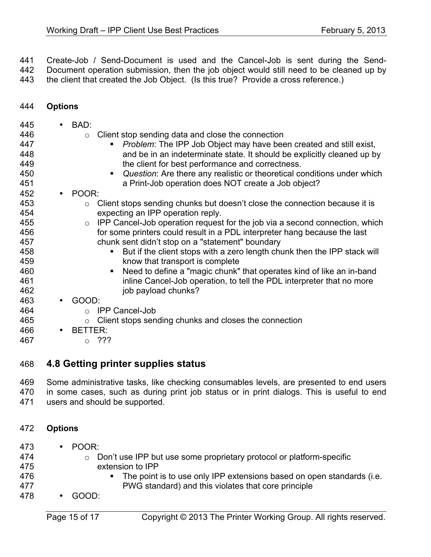Create-Job / Send-Document is used and the Cancel-Job is sent during the Send- Document operation submission, then the job object would still need to be cleaned up by 443 the client that created the Job Object. (Is this true? Provide a cross reference.)

#### **Options**

| 445 | $\bullet$ | BAD:           |                                                                                           |
|-----|-----------|----------------|-------------------------------------------------------------------------------------------|
| 446 |           | $\circ$        | Client stop sending data and close the connection                                         |
| 447 |           |                | Problem: The IPP Job Object may have been created and still exist,                        |
| 448 |           |                | and be in an indeterminate state. It should be explicitly cleaned up by                   |
| 449 |           |                | the client for best performance and correctness.                                          |
| 450 |           |                | Question: Are there any realistic or theoretical conditions under which<br>$\blacksquare$ |
| 451 |           |                | a Print-Job operation does NOT create a Job object?                                       |
| 452 | $\bullet$ | POOR:          |                                                                                           |
| 453 |           | $\circ$        | Client stops sending chunks but doesn't close the connection because it is                |
| 454 |           |                | expecting an IPP operation reply.                                                         |
| 455 |           | $\circ$        | IPP Cancel-Job operation request for the job via a second connection, which               |
| 456 |           |                | for some printers could result in a PDL interpreter hang because the last                 |
| 457 |           |                | chunk sent didn't stop on a "statement" boundary                                          |
| 458 |           |                | But if the client stops with a zero length chunk then the IPP stack will                  |
| 459 |           |                | know that transport is complete                                                           |
| 460 |           |                | Need to define a "magic chunk" that operates kind of like an in-band                      |
| 461 |           |                | inline Cancel-Job operation, to tell the PDL interpreter that no more                     |
| 462 |           |                | job payload chunks?                                                                       |
| 463 |           | GOOD:          |                                                                                           |
| 464 |           | $\Omega$       | <b>IPP Cancel-Job</b>                                                                     |
| 465 |           | $\circ$        | Client stops sending chunks and closes the connection                                     |
| 466 | $\bullet$ | <b>BETTER:</b> |                                                                                           |
| 467 |           | $\circ$        | ???                                                                                       |
|     |           |                |                                                                                           |

#### **4.8 Getting printer supplies status**

Some administrative tasks, like checking consumables levels, are presented to end users

in some cases, such as during print job status or in print dialogs. This is useful to end

users and should be supported.

#### **Options**

- 
- POOR:  $\circ$  Don't use IPP but use some proprietary protocol or platform-specific extension to IPP
- 
- **External Finandards Finandards** The point is to use only IPP extensions based on open standards (i.e. PWG standard) and this violates that core principle
- GOOD: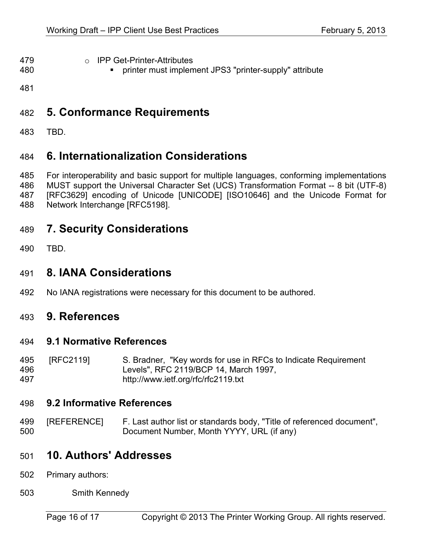- o IPP Get-Printer-Attributes
	- printer must implement JPS3 "printer-supply" attribute

# **5. Conformance Requirements**

TBD.

# **6. Internationalization Considerations**

 For interoperability and basic support for multiple languages, conforming implementations 486 MUST support the Universal Character Set (UCS) Transformation Format -- 8 bit (UTF-8) [RFC3629] encoding of Unicode [UNICODE] [ISO10646] and the Unicode Format for Network Interchange [RFC5198].

## **7. Security Considerations**

TBD.

### **8. IANA Considerations**

No IANA registrations were necessary for this document to be authored.

### **9. References**

#### **9.1 Normative References**

 [RFC2119] S. Bradner, "Key words for use in RFCs to Indicate Requirement Levels", RFC 2119/BCP 14, March 1997, http://www.ietf.org/rfc/rfc2119.txt

#### **9.2 Informative References**

 [REFERENCE] F. Last author list or standards body, "Title of referenced document", Document Number, Month YYYY, URL (if any)

### **10. Authors' Addresses**

- Primary authors:
- Smith Kennedy